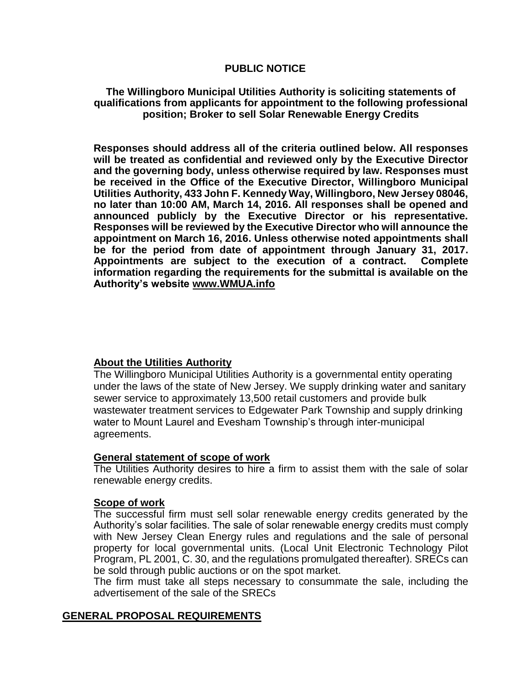### **PUBLIC NOTICE**

### **The Willingboro Municipal Utilities Authority is soliciting statements of qualifications from applicants for appointment to the following professional position; Broker to sell Solar Renewable Energy Credits**

**Responses should address all of the criteria outlined below. All responses will be treated as confidential and reviewed only by the Executive Director and the governing body, unless otherwise required by law. Responses must be received in the Office of the Executive Director, Willingboro Municipal Utilities Authority, 433 John F. Kennedy Way, Willingboro, New Jersey 08046, no later than 10:00 AM, March 14, 2016. All responses shall be opened and announced publicly by the Executive Director or his representative. Responses will be reviewed by the Executive Director who will announce the appointment on March 16, 2016. Unless otherwise noted appointments shall be for the period from date of appointment through January 31, 2017. Appointments are subject to the execution of a contract. Complete information regarding the requirements for the submittal is available on the Authority's website [www.WMUA.info](http://www.wmua.info/)**

#### **About the Utilities Authority**

The Willingboro Municipal Utilities Authority is a governmental entity operating under the laws of the state of New Jersey. We supply drinking water and sanitary sewer service to approximately 13,500 retail customers and provide bulk wastewater treatment services to Edgewater Park Township and supply drinking water to Mount Laurel and Evesham Township's through inter-municipal agreements.

#### **General statement of scope of work**

The Utilities Authority desires to hire a firm to assist them with the sale of solar renewable energy credits.

#### **Scope of work**

The successful firm must sell solar renewable energy credits generated by the Authority's solar facilities. The sale of solar renewable energy credits must comply with New Jersey Clean Energy rules and regulations and the sale of personal property for local governmental units. (Local Unit Electronic Technology Pilot Program, PL 2001, C. 30, and the regulations promulgated thereafter). SRECs can be sold through public auctions or on the spot market.

The firm must take all steps necessary to consummate the sale, including the advertisement of the sale of the SRECs

### **GENERAL PROPOSAL REQUIREMENTS**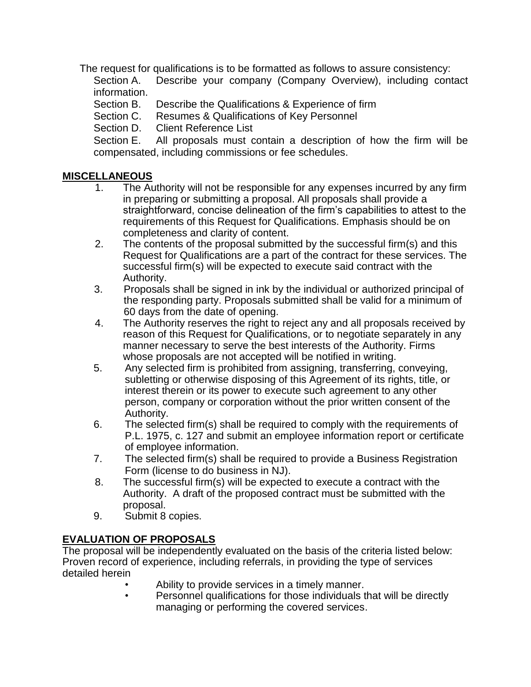The request for qualifications is to be formatted as follows to assure consistency: Section A. Describe your company (Company Overview), including contact information.

- Section B. Describe the Qualifications & Experience of firm
- Section C. Resumes & Qualifications of Key Personnel
- Section D. Client Reference List

Section E. All proposals must contain a description of how the firm will be compensated, including commissions or fee schedules.

## **MISCELLANEOUS**

- 1. The Authority will not be responsible for any expenses incurred by any firm in preparing or submitting a proposal. All proposals shall provide a straightforward, concise delineation of the firm's capabilities to attest to the requirements of this Request for Qualifications. Emphasis should be on completeness and clarity of content.
- 2. The contents of the proposal submitted by the successful firm(s) and this Request for Qualifications are a part of the contract for these services. The successful firm(s) will be expected to execute said contract with the Authority.
- 3. Proposals shall be signed in ink by the individual or authorized principal of the responding party. Proposals submitted shall be valid for a minimum of 60 days from the date of opening.
- 4. The Authority reserves the right to reject any and all proposals received by reason of this Request for Qualifications, or to negotiate separately in any manner necessary to serve the best interests of the Authority. Firms whose proposals are not accepted will be notified in writing.
- 5. Any selected firm is prohibited from assigning, transferring, conveying, subletting or otherwise disposing of this Agreement of its rights, title, or interest therein or its power to execute such agreement to any other person, company or corporation without the prior written consent of the Authority.
- 6. The selected firm(s) shall be required to comply with the requirements of P.L. 1975, c. 127 and submit an employee information report or certificate of employee information.
- 7. The selected firm(s) shall be required to provide a Business Registration Form (license to do business in NJ).
- 8. The successful firm(s) will be expected to execute a contract with the Authority. A draft of the proposed contract must be submitted with the proposal.
- 9. Submit 8 copies.

## **EVALUATION OF PROPOSALS**

The proposal will be independently evaluated on the basis of the criteria listed below: Proven record of experience, including referrals, in providing the type of services detailed herein

- Ability to provide services in a timely manner.
	- Personnel qualifications for those individuals that will be directly managing or performing the covered services.